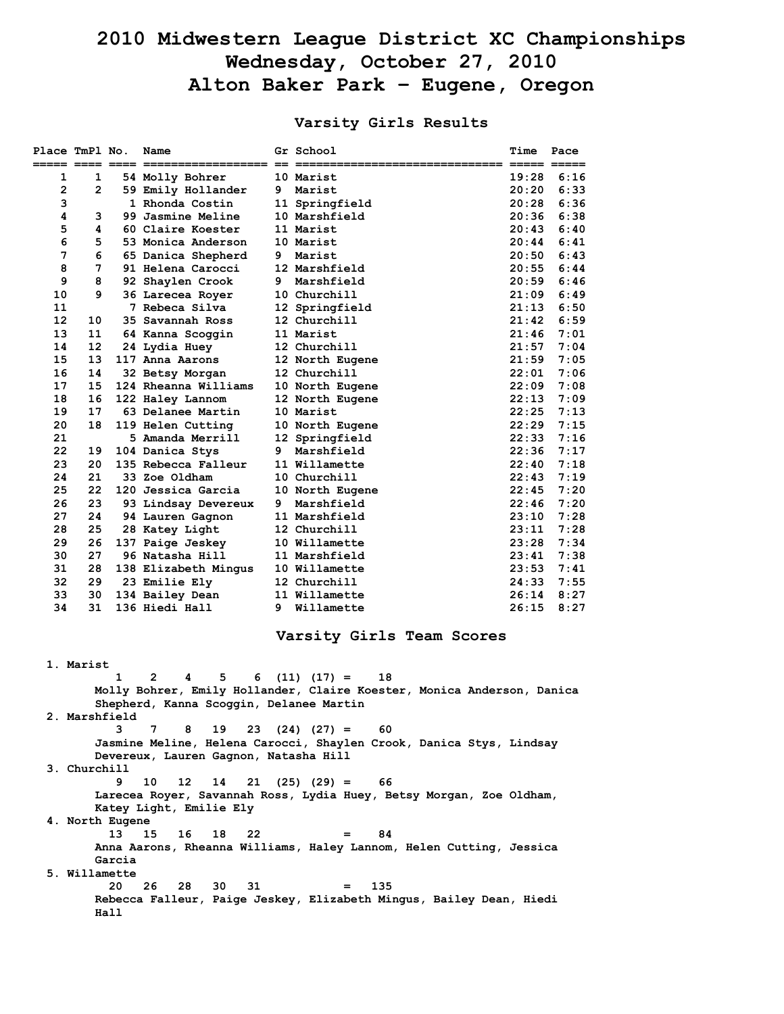# **2010 Midwestern League District XC Championships Wednesday, October 27, 2010 Alton Baker Park – Eugene, Oregon**

# **Varsity Girls Results**

| Place TmPl No.                                                              |              |               | Name                                    |    | Gr School                                                           | Time           | Pace         |  |  |
|-----------------------------------------------------------------------------|--------------|---------------|-----------------------------------------|----|---------------------------------------------------------------------|----------------|--------------|--|--|
| 1                                                                           | 1            |               | 54 Molly Bohrer                         |    | 10 Marist                                                           | 19:28          | 6:16         |  |  |
| $\mathbf{2}$                                                                | $\mathbf{2}$ |               | 59 Emily Hollander                      |    | 9 Marist                                                            | 20:20          | 6:33         |  |  |
| 3                                                                           |              |               | 1 Rhonda Costin                         |    | 11 Springfield                                                      | 20:28          | 6:36         |  |  |
| 4                                                                           | 3            |               | 99 Jasmine Meline                       |    | 10 Marshfield                                                       | 20:36          | 6:38         |  |  |
| 5                                                                           | 4            |               | 60 Claire Koester                       |    | 11 Marist                                                           | 20:43          | 6:40         |  |  |
| 6                                                                           | 5            |               | 53 Monica Anderson                      |    | 10 Marist                                                           | 20:44          | 6:41         |  |  |
| 7                                                                           | 6            |               | 65 Danica Shepherd                      | 9  | Marist                                                              | 20:50          | 6:43         |  |  |
| 8                                                                           | 7            |               | 91 Helena Carocci                       |    | 12 Marshfield                                                       | 20:55          | 6:44         |  |  |
| 9                                                                           | 8            |               | 92 Shaylen Crook                        | 9  | Marshfield                                                          |                | $20:59$ 6:46 |  |  |
| 10                                                                          | 9            |               | 36 Larecea Royer                        |    | 10 Churchill                                                        | 21:09          | 6:49         |  |  |
| 11                                                                          |              |               | 7 Rebeca Silva                          |    | 12 Springfield                                                      | 21:13          | 6:50<br>6:59 |  |  |
| 12<br>13                                                                    | 10<br>11     |               | 35 Savannah Ross                        |    | 12 Churchill<br>11 Marist                                           | 21:42<br>21:46 | 7:01         |  |  |
| 14                                                                          | 12           |               | 64 Kanna Scoggin<br>24 Lydia Huey       |    | 12 Churchill                                                        | 21:57          | 7:04         |  |  |
| 15                                                                          | 13           |               | 117 Anna Aarons                         |    | 12 North Eugene                                                     | 21:59          | 7:05         |  |  |
| 16                                                                          | 14           |               | 32 Betsy Morgan                         |    | 12 Churchill                                                        | 22:01          | 7:06         |  |  |
| 17                                                                          | 15           |               | 124 Rheanna Williams                    |    | 10 North Eugene                                                     | 22:09          | 7:08         |  |  |
| 18                                                                          | 16           |               | 122 Haley Lannom                        |    | 12 North Eugene                                                     | 22:13          | 7:09         |  |  |
| 19                                                                          | 17           |               | 63 Delanee Martin                       |    | 10 Marist                                                           | 22:25          | 7:13         |  |  |
| 20                                                                          | 18           |               | 119 Helen Cutting                       |    | 10 North Eugene                                                     | 22:29          | 7:15         |  |  |
| 21                                                                          |              |               | 5 Amanda Merrill                        |    | 12 Springfield                                                      | 22:33          | 7:16         |  |  |
| 22                                                                          | 19           |               | 104 Danica Stys                         | 9  | Marshfield                                                          | 22:36          | 7:17         |  |  |
| 23                                                                          | 20           |               | 135 Rebecca Falleur                     |    | 11 Willamette                                                       | 22:40          | 7:18         |  |  |
| 24                                                                          | 21           |               | 33 Zoe Oldham                           |    | 10 Churchill                                                        | 22:43          | 7:19         |  |  |
| 25                                                                          | 22           |               | 120 Jessica Garcia                      |    | 10 North Eugene                                                     | 22:45          | 7:20         |  |  |
| 26                                                                          | 23           |               | 93 Lindsay Devereux                     | 9. | Marshfield                                                          | 22:46          | 7:20         |  |  |
| 27                                                                          | 24           |               | 94 Lauren Gagnon                        |    | 11 Marshfield                                                       | 23:10          | 7:28         |  |  |
| 28                                                                          | 25           |               | 28 Katey Light                          |    | 12 Churchill                                                        | 23:11          | 7:28         |  |  |
| 29                                                                          | 26           |               | 137 Paige Jeskey                        |    | 10 Willamette                                                       | 23:28          | 7:34         |  |  |
| 30<br>31                                                                    | 27<br>28     |               | 96 Natasha Hill                         |    | 11 Marshfield<br>10 Willamette                                      | 23:41<br>23:53 | 7:38<br>7:41 |  |  |
| 32                                                                          | 29           |               | 138 Elizabeth Mingus<br>23 Emilie Ely   |    | 12 Churchill                                                        | 24:33          | 7:55         |  |  |
| 33                                                                          | 30           |               | 134 Bailey Dean                         |    | 11 Willamette                                                       | 26:14          | 8:27         |  |  |
| 34                                                                          | 31           |               | 136 Hiedi Hall                          | 9  | Willamette                                                          | 26:15          | 8:27         |  |  |
| Varsity Girls Team Scores                                                   |              |               |                                         |    |                                                                     |                |              |  |  |
|                                                                             | 1. Marist    |               |                                         |    |                                                                     |                |              |  |  |
|                                                                             |              | 1             | $\mathbf{2}$<br>5<br>4<br>6             |    | $(11)$ $(17) =$<br>18                                               |                |              |  |  |
| Molly Bohrer, Emily Hollander, Claire Koester, Monica Anderson, Danica      |              |               |                                         |    |                                                                     |                |              |  |  |
|                                                                             |              |               | Shepherd, Kanna Scoggin, Delanee Martin |    |                                                                     |                |              |  |  |
|                                                                             |              | 2. Marshfield |                                         |    |                                                                     |                |              |  |  |
|                                                                             |              | 3             | $7^{\circ}$<br>8<br>19                  |    | $23(24)(27) = 60$                                                   |                |              |  |  |
|                                                                             |              |               |                                         |    | Jasmine Meline, Helena Carocci, Shaylen Crook, Danica Stys, Lindsay |                |              |  |  |
| Devereux, Lauren Gagnon, Natasha Hill<br>3. Churchill                       |              |               |                                         |    |                                                                     |                |              |  |  |
|                                                                             |              | 9             | 12<br>14<br>21<br>10                    |    | $(25)$ $(29) = 66$                                                  |                |              |  |  |
|                                                                             |              |               |                                         |    | Larecea Royer, Savannah Ross, Lydia Huey, Betsy Morgan, Zoe Oldham, |                |              |  |  |
| Katey Light, Emilie Ely                                                     |              |               |                                         |    |                                                                     |                |              |  |  |
| 4. North Eugene                                                             |              |               |                                         |    |                                                                     |                |              |  |  |
|                                                                             |              | 13            | 22<br>15<br>16<br>18                    |    | 84<br>$=$                                                           |                |              |  |  |
|                                                                             |              |               |                                         |    | Anna Aarons, Rheanna Williams, Haley Lannom, Helen Cutting, Jessica |                |              |  |  |
|                                                                             |              | Garcia        |                                         |    |                                                                     |                |              |  |  |
|                                                                             |              | 5. Willamette |                                         |    |                                                                     |                |              |  |  |
|                                                                             |              | 20            | 31<br>26<br>28<br>30                    |    | 135<br>$=$                                                          |                |              |  |  |
| Rebecca Falleur, Paige Jeskey, Elizabeth Mingus, Bailey Dean, Hiedi<br>Hall |              |               |                                         |    |                                                                     |                |              |  |  |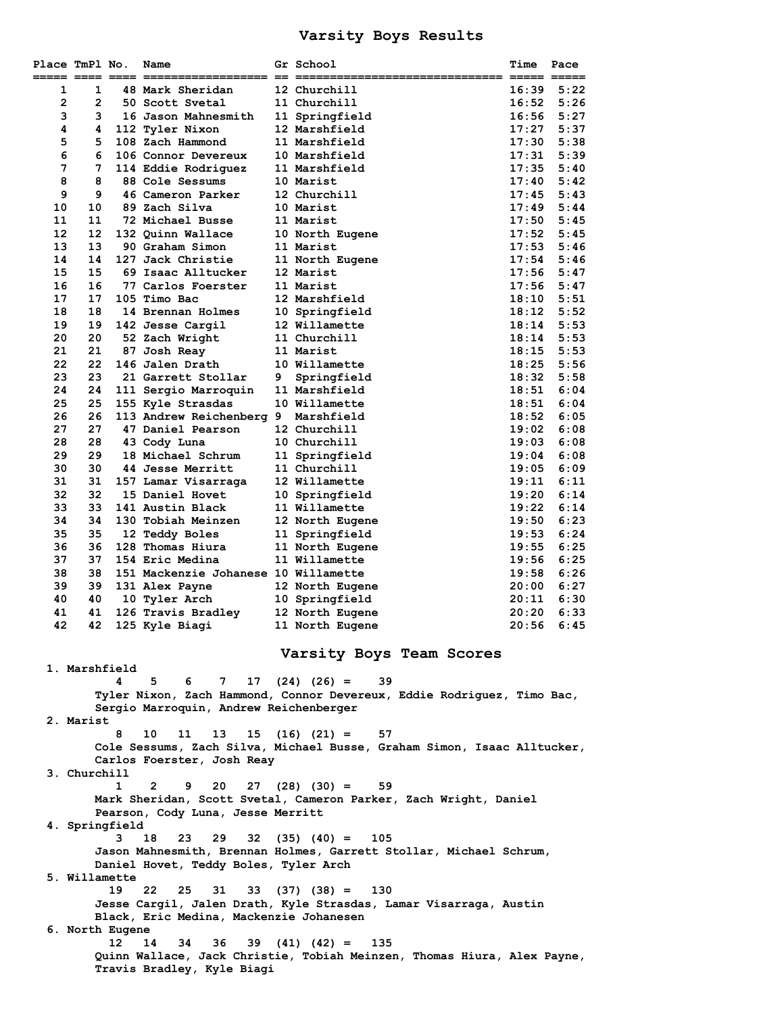## **Varsity Boys Results**

| Place TmPl No.                                                                                        |                     |                 | Name                                   |   | Gr School                                                              | Time           | Pace         |  |  |
|-------------------------------------------------------------------------------------------------------|---------------------|-----------------|----------------------------------------|---|------------------------------------------------------------------------|----------------|--------------|--|--|
|                                                                                                       |                     |                 |                                        |   |                                                                        | 16:39          |              |  |  |
| 1<br>$\overline{2}$                                                                                   | 1<br>$\overline{2}$ |                 | 48 Mark Sheridan<br>50 Scott Svetal    |   | 12 Churchill<br>11 Churchill                                           | 16:52          | 5:22<br>5:26 |  |  |
| 3                                                                                                     | 3                   |                 | 16 Jason Mahnesmith                    |   | 11 Springfield                                                         | 16:56          | 5:27         |  |  |
| 4                                                                                                     | 4                   |                 | 112 Tyler Nixon                        |   | 12 Marshfield                                                          | 17:27          | 5:37         |  |  |
| 5                                                                                                     | 5                   |                 | 108 Zach Hammond                       |   | 11 Marshfield                                                          | 17:30          | 5:38         |  |  |
| 6                                                                                                     | 6                   |                 | 106 Connor Devereux                    |   | 10 Marshfield                                                          | 17:31          | 5:39         |  |  |
| 7                                                                                                     | 7                   |                 | 114 Eddie Rodriguez                    |   | 11 Marshfield                                                          | 17:35          | 5:40         |  |  |
| 8                                                                                                     | 8                   |                 | 88 Cole Sessums                        |   | 10 Marist                                                              | 17:40          | 5:42         |  |  |
| 9                                                                                                     | 9                   |                 | 46 Cameron Parker                      |   | 12 Churchill                                                           | 17:45          | 5:43         |  |  |
| 10                                                                                                    | 10                  |                 | 89 Zach Silva                          |   | 10 Marist                                                              | 17:49          | 5:44         |  |  |
| 11<br>12                                                                                              | 11<br>12            |                 | 72 Michael Busse<br>132 Quinn Wallace  |   | 11 Marist                                                              | 17:50<br>17:52 | 5:45<br>5:45 |  |  |
| 13                                                                                                    | 13                  |                 | 90 Graham Simon                        |   | 10 North Eugene<br>11 Marist                                           | 17:53          | 5:46         |  |  |
| 14                                                                                                    | 14                  |                 | 127 Jack Christie                      |   | 11 North Eugene                                                        | 17:54          | 5:46         |  |  |
| 15                                                                                                    | 15                  |                 | 69 Isaac Alltucker                     |   | 12 Marist                                                              | 17:56          | 5:47         |  |  |
| 16                                                                                                    | 16                  |                 | 77 Carlos Foerster                     |   | 11 Marist                                                              | 17:56          | 5:47         |  |  |
| 17                                                                                                    | 17                  |                 | 105 Timo Bac                           |   | 12 Marshfield                                                          | 18:10          | 5:51         |  |  |
| 18                                                                                                    | 18                  |                 | 14 Brennan Holmes                      |   | 10 Springfield                                                         | 18:12          | 5:52         |  |  |
| 19                                                                                                    | 19                  |                 | 142 Jesse Cargil                       |   | 12 Willamette                                                          | 18:14          | 5:53         |  |  |
| 20<br>21                                                                                              | 20<br>21            |                 | 52 Zach Wright                         |   | 11 Churchill                                                           | 18:14          | 5:53<br>5:53 |  |  |
| 22                                                                                                    | 22                  |                 | 87 Josh Reay<br>146 Jalen Drath        |   | 11 Marist<br>10 Willamette                                             | 18:15<br>18:25 | 5:56         |  |  |
| 23                                                                                                    | 23                  |                 | 21 Garrett Stollar                     | 9 | Springfield                                                            | 18:32          | 5:58         |  |  |
| 24                                                                                                    | 24                  |                 | 111 Sergio Marroquin                   |   | 11 Marshfield                                                          | 18:51          | 6:04         |  |  |
| 25                                                                                                    | 25                  |                 | 155 Kyle Strasdas                      |   | 10 Willamette                                                          | 18:51          | 6:04         |  |  |
| 26                                                                                                    | 26                  |                 | 113 Andrew Reichenberg 9 Marshfield    |   |                                                                        | 18:52          | 6:05         |  |  |
| 27                                                                                                    | 27                  |                 | 47 Daniel Pearson                      |   | 12 Churchill                                                           | 19:02          | 6:08         |  |  |
| 28                                                                                                    | 28                  |                 | 43 Cody Luna                           |   | 10 Churchill                                                           | 19:03          | 6:08         |  |  |
| 29                                                                                                    | 29                  |                 | 18 Michael Schrum                      |   | 11 Springfield                                                         | 19:04          | 6:08         |  |  |
| 30<br>31                                                                                              | 30<br>31            |                 | 44 Jesse Merritt                       |   | 11 Churchill<br>12 Willamette                                          | 19:05<br>19:11 | 6:09<br>6:11 |  |  |
| 32                                                                                                    | 32                  |                 | 157 Lamar Visarraga<br>15 Daniel Hovet |   | 10 Springfield                                                         | 19:20          | 6:14         |  |  |
| 33                                                                                                    | 33                  |                 | 141 Austin Black                       |   | 11 Willamette                                                          | 19:22          | 6:14         |  |  |
| 34                                                                                                    | 34                  |                 | 130 Tobiah Meinzen                     |   | 12 North Eugene                                                        | 19:50          | 6:23         |  |  |
| 35                                                                                                    | 35                  |                 | 12 Teddy Boles                         |   | 11 Springfield                                                         | 19:53          | 6:24         |  |  |
| 36                                                                                                    | 36                  |                 | 128 Thomas Hiura                       |   | 11 North Eugene                                                        | 19:55          | 6:25         |  |  |
| 37                                                                                                    | 37                  |                 | 154 Eric Medina                        |   | 11 Willamette                                                          | 19:56          | 6:25         |  |  |
| 38                                                                                                    | 38                  |                 | 151 Mackenzie Johanese 10 Willamette   |   |                                                                        | 19:58          | 6:26         |  |  |
| 39<br>40                                                                                              | 39<br>40            |                 | 131 Alex Payne<br>10 Tyler Arch        |   | 12 North Eugene                                                        | 20:00<br>20:11 | 6:27<br>6:30 |  |  |
| 41                                                                                                    | 41                  |                 | 126 Travis Bradley                     |   | 10 Springfield<br>12 North Eugene                                      | 20:20          | 6:33         |  |  |
| 42                                                                                                    | 42                  |                 | 125 Kyle Biagi                         |   | 11 North Eugene                                                        | 20:56          | 6:45         |  |  |
| Varsity Boys Team Scores<br>1. Marshfield                                                             |                     |                 |                                        |   |                                                                        |                |              |  |  |
|                                                                                                       |                     | 4               | 5.<br>6 —<br>7                         |   | $17(24)(26) =$<br>39                                                   |                |              |  |  |
|                                                                                                       |                     |                 |                                        |   | Tyler Nixon, Zach Hammond, Connor Devereux, Eddie Rodriguez, Timo Bac, |                |              |  |  |
| Sergio Marroquin, Andrew Reichenberger<br>2. Marist                                                   |                     |                 |                                        |   |                                                                        |                |              |  |  |
|                                                                                                       |                     | 8               | 10<br>13<br>11                         |   | $15$ $(16)$ $(21) = 57$                                                |                |              |  |  |
|                                                                                                       |                     |                 |                                        |   |                                                                        |                |              |  |  |
| Cole Sessums, Zach Silva, Michael Busse, Graham Simon, Isaac Alltucker,<br>Carlos Foerster, Josh Reay |                     |                 |                                        |   |                                                                        |                |              |  |  |
|                                                                                                       | 3. Churchill        |                 |                                        |   |                                                                        |                |              |  |  |
|                                                                                                       |                     | $\mathbf{1}$    | $\mathbf{2}$<br>9<br>20                |   | $27$ (28) (30) =<br>59                                                 |                |              |  |  |
| Mark Sheridan, Scott Svetal, Cameron Parker, Zach Wright, Daniel                                      |                     |                 |                                        |   |                                                                        |                |              |  |  |
| Pearson, Cody Luna, Jesse Merritt<br>4. Springfield                                                   |                     |                 |                                        |   |                                                                        |                |              |  |  |
|                                                                                                       |                     | 3               | 18<br>23<br>29                         |   | 105                                                                    |                |              |  |  |
| $32(35)(40) =$<br>Jason Mahnesmith, Brennan Holmes, Garrett Stollar, Michael Schrum,                  |                     |                 |                                        |   |                                                                        |                |              |  |  |
| Daniel Hovet, Teddy Boles, Tyler Arch                                                                 |                     |                 |                                        |   |                                                                        |                |              |  |  |
| 5. Willamette                                                                                         |                     |                 |                                        |   |                                                                        |                |              |  |  |
| 19<br>22<br>25<br>31<br>$33 \quad (37) \quad (38) = 130$                                              |                     |                 |                                        |   |                                                                        |                |              |  |  |
|                                                                                                       |                     |                 |                                        |   | Jesse Cargil, Jalen Drath, Kyle Strasdas, Lamar Visarraga, Austin      |                |              |  |  |
| Black, Eric Medina, Mackenzie Johanesen                                                               |                     |                 |                                        |   |                                                                        |                |              |  |  |
|                                                                                                       |                     | 6. North Eugene |                                        |   |                                                                        |                |              |  |  |
|                                                                                                       |                     | 12              | 36<br>14<br>34                         |   | $39(41)(42) =$<br>135                                                  |                |              |  |  |
| Quinn Wallace, Jack Christie, Tobiah Meinzen, Thomas Hiura, Alex Payne,<br>Travis Bradley, Kyle Biagi |                     |                 |                                        |   |                                                                        |                |              |  |  |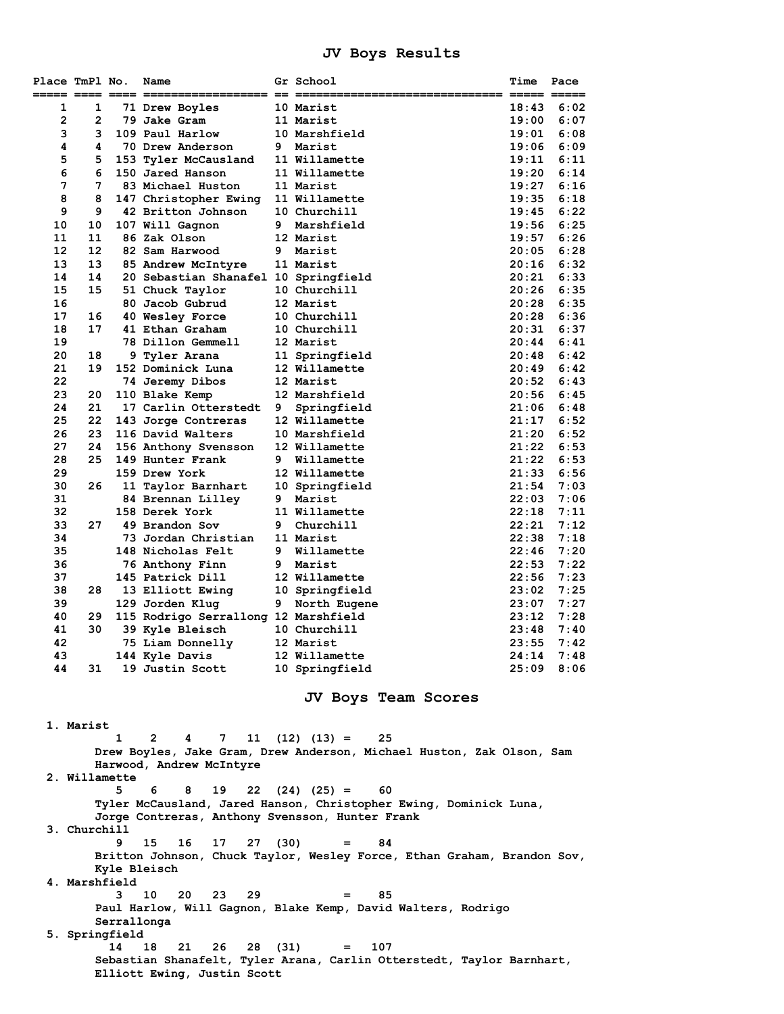#### **JV Boys Results**

| 1<br>$\overline{2}$<br>3<br>4<br>5<br>6<br>7<br>8<br>9 | 1<br>$\overline{2}$<br>3<br>4<br>6 | ----- ---- ---- ------------------<br>71 Drew Boyles<br>79 Jake Gram<br>109 Paul Harlow |   | $==$ $==$ =============<br>10 Marist<br>11 Marist | 18:43<br>19:00 | 6:02         |
|--------------------------------------------------------|------------------------------------|-----------------------------------------------------------------------------------------|---|---------------------------------------------------|----------------|--------------|
|                                                        |                                    |                                                                                         |   |                                                   |                |              |
|                                                        |                                    |                                                                                         |   |                                                   |                | 6:07         |
|                                                        |                                    |                                                                                         |   | 10 Marshfield                                     | 19:01          | 6:08         |
|                                                        |                                    | 70 Drew Anderson                                                                        |   | 9 Marist                                          | 19:06          | 6:09         |
|                                                        |                                    | 5 153 Tyler McCausland                                                                  |   | 11 Willamette                                     | 19:11          | 6:11         |
|                                                        |                                    | 150 Jared Hanson                                                                        |   | 11 Willamette                                     | 19:20          | 6:14         |
|                                                        | $7^{\circ}$                        | 83 Michael Huston                                                                       |   | 11 Marist                                         | 19:27          | 6:16         |
|                                                        | 8                                  | 147 Christopher Ewing                                                                   |   | 11 Willamette                                     | 19:35          | 6:18         |
|                                                        | 9                                  | 42 Britton Johnson                                                                      |   | 10 Churchill                                      | 19:45          | 6:22         |
| 10                                                     | 10                                 | 107 Will Gagnon                                                                         |   | 9 Marshfield                                      | 19:56          | 6:25         |
| 11                                                     | 11                                 | 86 Zak Olson                                                                            |   | 12 Marist                                         | 19:57          | 6:26         |
| 12 <sup>2</sup>                                        | $12 \overline{ }$                  | 82 Sam Harwood                                                                          |   | 9 Marist                                          | 20:05          | 6:28         |
| 13                                                     | 13                                 | 85 Andrew McIntyre                                                                      |   | 11 Marist                                         | 20:16          | 6:32         |
| 14                                                     | 14                                 | 20 Sebastian Shanafel 10 Springfield                                                    |   |                                                   | 20:21          | 6:33         |
| 15                                                     | 15                                 | 51 Chuck Taylor                                                                         |   | 10 Churchill                                      | 20:26          | 6:35         |
| 16                                                     |                                    | 80 Jacob Gubrud                                                                         |   | 12 Marist                                         | 20:28          | 6:35         |
| 17                                                     | 16                                 | 40 Wesley Force                                                                         |   | 10 Churchill                                      | 20:28          | 6:36         |
| 18                                                     | 17                                 | 41 Ethan Graham                                                                         |   | 10 Churchill                                      | 20:31          | 6:37         |
| 19                                                     |                                    | 78 Dillon Gemmell                                                                       |   | 12 Marist                                         | 20:44          | 6:41         |
| 20                                                     | 18                                 | 9 Tyler Arana                                                                           |   | 11 Springfield                                    | 20:48          | 6:42         |
| 21                                                     | 19                                 | 152 Dominick Luna                                                                       |   | 12 Willamette                                     | 20:49          | 6:42         |
| 22                                                     |                                    | 74 Jeremy Dibos                                                                         |   | 12 Marist                                         | 20:52          | 6:43         |
| 23                                                     | 20                                 | 110 Blake Kemp                                                                          |   | 12 Marshfield                                     | 20:56          | 6:45         |
| 24                                                     | 21                                 | 17 Carlin Otterstedt                                                                    | 9 | Springfield                                       | 21:06          | 6:48         |
| 25<br>26                                               | 22<br>23                           | 143 Jorge Contreras                                                                     |   | 12 Willamette<br>10 Marshfield                    | 21:17<br>21:20 | 6:52<br>6:52 |
| 27                                                     | 24                                 | 116 David Walters<br>156 Anthony Svensson                                               |   | 12 Willamette                                     | 21:22          | 6:53         |
| 28                                                     | 25                                 | 149 Hunter Frank                                                                        |   | 9 Willamette                                      | 21:22          | 6:53         |
| 29                                                     |                                    | 159 Drew York                                                                           |   | 12 Willamette                                     | 21:33          | 6:56         |
| 30                                                     | 26                                 | 11 Taylor Barnhart                                                                      |   | 10 Springfield                                    | 21:54          | 7:03         |
| 31                                                     |                                    | 84 Brennan Lilley                                                                       |   | 9 Marist                                          | 22:03          | 7:06         |
| 32                                                     |                                    | 158 Derek York                                                                          |   | 11 Willamette                                     | 22:18          | 7:11         |
| 33                                                     | 27                                 | 49 Brandon Sov                                                                          |   | 9 Churchill                                       | 22:21          | 7:12         |
| 34                                                     |                                    | 73 Jordan Christian                                                                     |   | 11 Marist                                         | 22:38          | 7:18         |
| 35                                                     |                                    | 148 Nicholas Felt                                                                       |   | 9 Willamette                                      | 22:46          | 7:20         |
| 36                                                     |                                    | 76 Anthony Finn                                                                         |   | 9 Marist                                          | 22:53          | 7:22         |
| 37                                                     |                                    | 145 Patrick Dill                                                                        |   | 12 Willamette                                     | 22:56          | 7:23         |
| 38                                                     | 28                                 | 13 Elliott Ewing                                                                        |   | 10 Springfield                                    | 23:02          | 7:25         |
| 39                                                     |                                    | 129 Jorden Klug                                                                         |   | 9 North Eugene                                    | 23:07          | 7:27         |
| 40                                                     | 29                                 | 115 Rodrigo Serrallong 12 Marshfield                                                    |   |                                                   | 23:12          | 7:28         |
| 41                                                     | 30                                 | 39 Kyle Bleisch                                                                         |   | 10 Churchill                                      | 23:48          | 7:40         |
| 42                                                     |                                    | 75 Liam Donnelly                                                                        |   | 12 Marist                                         | 23:55          | 7:42         |
| 43                                                     |                                    | 144 Kyle Davis                                                                          |   | 12 Willamette                                     | 24:14          | 7:48         |
| 44                                                     | 31                                 | 19 Justin Scott                                                                         |   | 10 Springfield                                    | 25:09          | 8:06         |

**JV Boys Team Scores** 

 **1. Marist 1 2 4 7 11 (12) (13) = 25 Drew Boyles, Jake Gram, Drew Anderson, Michael Huston, Zak Olson, Sam Harwood, Andrew McIntyre 2. Willamette 5 6 8 19 22 (24) (25) = 60 Tyler McCausland, Jared Hanson, Christopher Ewing, Dominick Luna, Jorge Contreras, Anthony Svensson, Hunter Frank 3. Churchill 9 15 16 17 27 (30) = 84 Britton Johnson, Chuck Taylor, Wesley Force, Ethan Graham, Brandon Sov, Kyle Bleisch 4. Marshfield 3 10 20 23 29 = 85 Paul Harlow, Will Gagnon, Blake Kemp, David Walters, Rodrigo Serrallonga 5. Springfield 14 18 21 26 28 (31) = 107 Sebastian Shanafelt, Tyler Arana, Carlin Otterstedt, Taylor Barnhart, Elliott Ewing, Justin Scott**